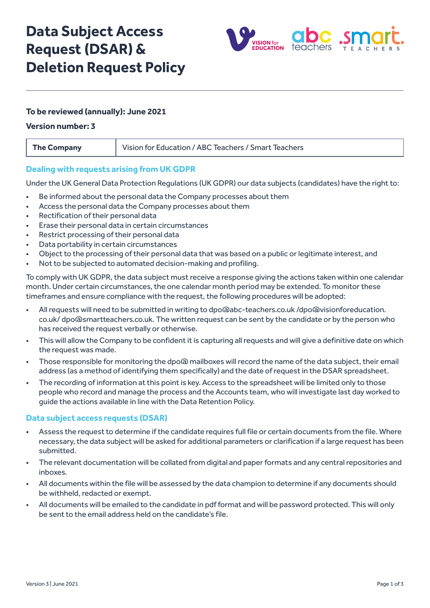# **Data Subject Access Request (DSAR) & Deletion Request Policy**



# **To be reviewed (annually): June 2021**

#### **Version number: 3**

| <b>The Company</b> | Vision for Education / ABC Teachers / Smart Teachers |
|--------------------|------------------------------------------------------|
|                    |                                                      |

## **Dealing with requests arising from UK GDPR**

Under the UK General Data Protection Regulations (UK GDPR) our data subjects (candidates) have the right to:

- Be informed about the personal data the Company processes about them
- Access the personal data the Company processes about them
- Rectification of their personal data
- Erase their personal data in certain circumstances
- Restrict processing of their personal data
- Data portability in certain circumstances
- Object to the processing of their personal data that was based on a public or legitimate interest, and
- Not to be subjected to automated decision-making and profiling.

To comply with UK GDPR, the data subject must receive a response giving the actions taken within one calendar month. Under certain circumstances, the one calendar month period may be extended. To monitor these timeframes and ensure compliance with the request, the following procedures will be adopted:

- All requests will need to be submitted in writing to dpo@abc-teachers.co.uk /dpo@visionforeducation. co.uk/ dpo@smartteachers.co.uk. The written request can be sent by the candidate or by the person who has received the request verbally or otherwise.
- This will allow the Company to be confident it is capturing all requests and will give a definitive date on which the request was made.
- Those responsible for monitoring the dpo@ mailboxes will record the name of the data subject, their email address (as a method of identifying them specifically) and the date of request in the DSAR spreadsheet.
- The recording of information at this point is key. Access to the spreadsheet will be limited only to those people who record and manage the process and the Accounts team, who will investigate last day worked to guide the actions available in line with the Data Retention Policy.

#### **Data subject access requests (DSAR)**

- Assess the request to determine if the candidate requires full file or certain documents from the file. Where necessary, the data subject will be asked for additional parameters or clarification if a large request has been submitted.
- The relevant documentation will be collated from digital and paper formats and any central repositories and inboxes.
- All documents within the file will be assessed by the data champion to determine if any documents should be withheld, redacted or exempt.
- All documents will be emailed to the candidate in pdf format and will be password protected. This will only be sent to the email address held on the candidate's file.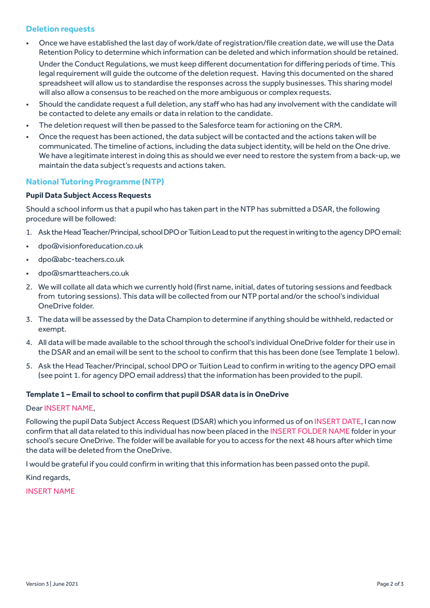# **Deletion requests**

• Once we have established the last day of work/date of registration/file creation date, we will use the Data Retention Policy to determine which information can be deleted and which information should be retained.

Under the Conduct Regulations, we must keep different documentation for differing periods of time. This legal requirement will guide the outcome of the deletion request. Having this documented on the shared spreadsheet will allow us to standardise the responses across the supply businesses. This sharing model will also allow a consensus to be reached on the more ambiguous or complex requests.

- Should the candidate request a full deletion, any staff who has had any involvement with the candidate will be contacted to delete any emails or data in relation to the candidate.
- The deletion request will then be passed to the Salesforce team for actioning on the CRM.
- Once the request has been actioned, the data subject will be contacted and the actions taken will be communicated. The timeline of actions, including the data subject identity, will be held on the One drive. We have a legitimate interest in doing this as should we ever need to restore the system from a back-up, we maintain the data subject's requests and actions taken.

# **National Tutoring Programme (NTP)**

#### **Pupil Data Subject Access Requests**

Should a school inform us that a pupil who has taken part in the NTP has submitted a DSAR, the following procedure will be followed:

- 1. Ask the Head Teacher/Principal, school DPO or Tuition Lead to put the request in writing to the agency DPO email:
- dpo@visionforeducation.co.uk
- dpo@abc-teachers.co.uk
- dpo@smartteachers.co.uk
- 2. We will collate all data which we currently hold (first name, initial, dates of tutoring sessions and feedback from tutoring sessions). This data will be collected from our NTP portal and/or the school's individual OneDrive folder.
- 3. The data will be assessed by the Data Champion to determine if anything should be withheld, redacted or exempt.
- 4. All data will be made available to the school through the school's individual OneDrive folder for their use in the DSAR and an email will be sent to the school to confirm that this has been done (see Template 1 below).
- 5. Ask the Head Teacher/Principal, school DPO or Tuition Lead to confirm in writing to the agency DPO email (see point 1. for agency DPO email address) that the information has been provided to the pupil.

#### **Template 1 – Email to school to confirm that pupil DSAR data is in OneDrive**

#### Dear INSERT NAME,

Following the pupil Data Subject Access Request (DSAR) which you informed us of on INSERT DATE, I can now confirm that all data related to this individual has now been placed in the INSERT FOLDER NAME folder in your school's secure OneDrive. The folder will be available for you to access for the next 48 hours after which time the data will be deleted from the OneDrive.

I would be grateful if you could confirm in writing that this information has been passed onto the pupil.

Kind regards,

INSERT NAME